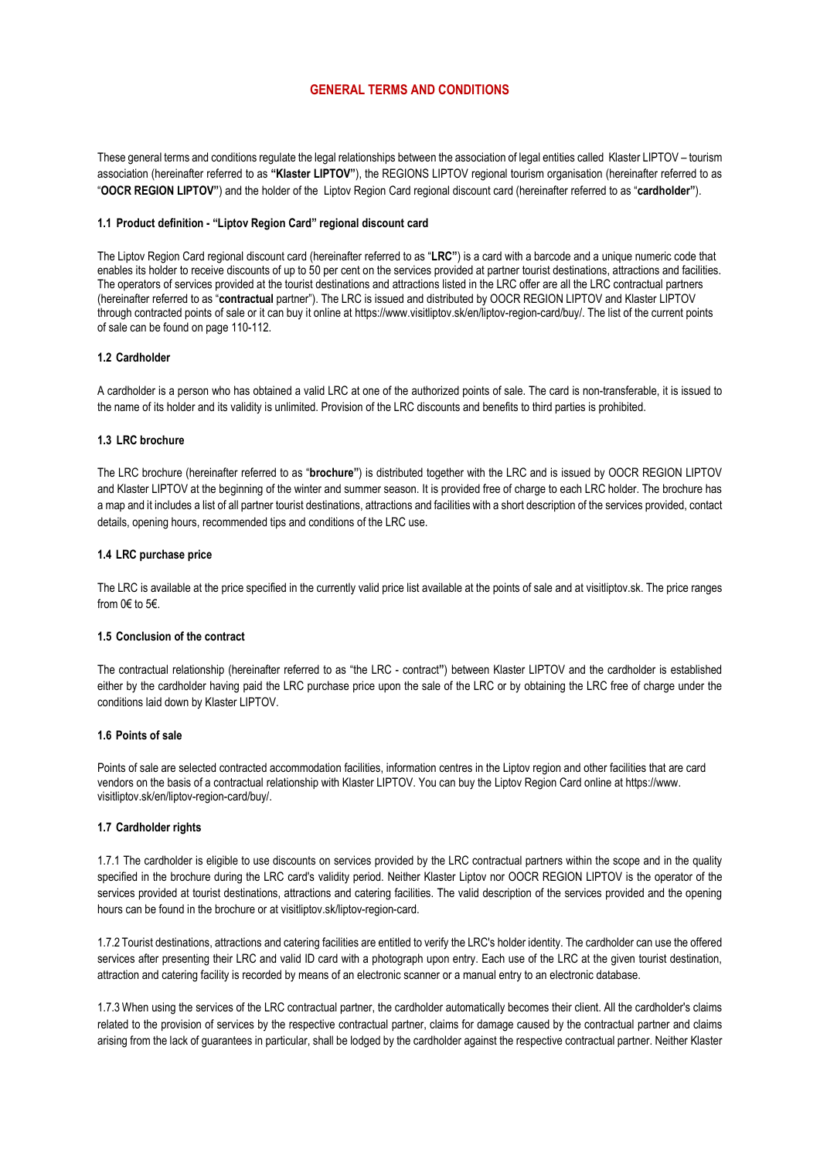# GENERAL TERMS AND CONDITIONS

These general terms and conditions regulate the legal relationships between the association of legal entities called Klaster LIPTOV – tourism association (hereinafter referred to as "Klaster LIPTOV"), the REGIONS LIPTOV regional tourism organisation (hereinafter referred to as "OOCR REGION LIPTOV") and the holder of the Liptov Region Card regional discount card (hereinafter referred to as "cardholder").

#### 1.1 Product definition - "Liptov Region Card" regional discount card

The Liptov Region Card regional discount card (hereinafter referred to as "LRC") is a card with a barcode and a unique numeric code that enables its holder to receive discounts of up to 50 per cent on the services provided at partner tourist destinations, attractions and facilities. The operators of services provided at the tourist destinations and attractions listed in the LRC offer are all the LRC contractual partners (hereinafter referred to as "contractual partner"). The LRC is issued and distributed by OOCR REGION LIPTOV and Klaster LIPTOV through contracted points of sale or it can buy it online at https://www.visitliptov.sk/en/liptov-region-card/buy/. The list of the current points of sale can be found on page 110-112.

## 1.2 Cardholder

A cardholder is a person who has obtained a valid LRC at one of the authorized points of sale. The card is non-transferable, it is issued to the name of its holder and its validity is unlimited. Provision of the LRC discounts and benefits to third parties is prohibited.

### 1.3 LRC brochure

The LRC brochure (hereinafter referred to as "brochure") is distributed together with the LRC and is issued by OOCR REGION LIPTOV and Klaster LIPTOV at the beginning of the winter and summer season. It is provided free of charge to each LRC holder. The brochure has a map and it includes a list of all partner tourist destinations, attractions and facilities with a short description of the services provided, contact details, opening hours, recommended tips and conditions of the LRC use.

### 1.4 LRC purchase price

The LRC is available at the price specified in the currently valid price list available at the points of sale and at visitliptov.sk. The price ranges from  $0 \in \mathfrak{h}$  5 $\in$ .

#### 1.5 Conclusion of the contract

The contractual relationship (hereinafter referred to as "the LRC - contract") between Klaster LIPTOV and the cardholder is established either by the cardholder having paid the LRC purchase price upon the sale of the LRC or by obtaining the LRC free of charge under the conditions laid down by Klaster LIPTOV.

## 1.6 Points of sale

Points of sale are selected contracted accommodation facilities, information centres in the Liptov region and other facilities that are card vendors on the basis of a contractual relationship with Klaster LIPTOV. You can buy the Liptov Region Card online at https://www. visitliptov.sk/en/liptov-region-card/buy/.

#### 1.7 Cardholder rights

1.7.1 The cardholder is eligible to use discounts on services provided by the LRC contractual partners within the scope and in the quality specified in the brochure during the LRC card's validity period. Neither Klaster Liptov nor OOCR REGION LIPTOV is the operator of the services provided at tourist destinations, attractions and catering facilities. The valid description of the services provided and the opening hours can be found in the brochure or at visitliptov.sk/liptov-region-card.

1.7.2 Tourist destinations, attractions and catering facilities are entitled to verify the LRC's holder identity. The cardholder can use the offered services after presenting their LRC and valid ID card with a photograph upon entry. Each use of the LRC at the given tourist destination, attraction and catering facility is recorded by means of an electronic scanner or a manual entry to an electronic database.

1.7.3 When using the services of the LRC contractual partner, the cardholder automatically becomes their client. All the cardholder's claims related to the provision of services by the respective contractual partner, claims for damage caused by the contractual partner and claims arising from the lack of guarantees in particular, shall be lodged by the cardholder against the respective contractual partner. Neither Klaster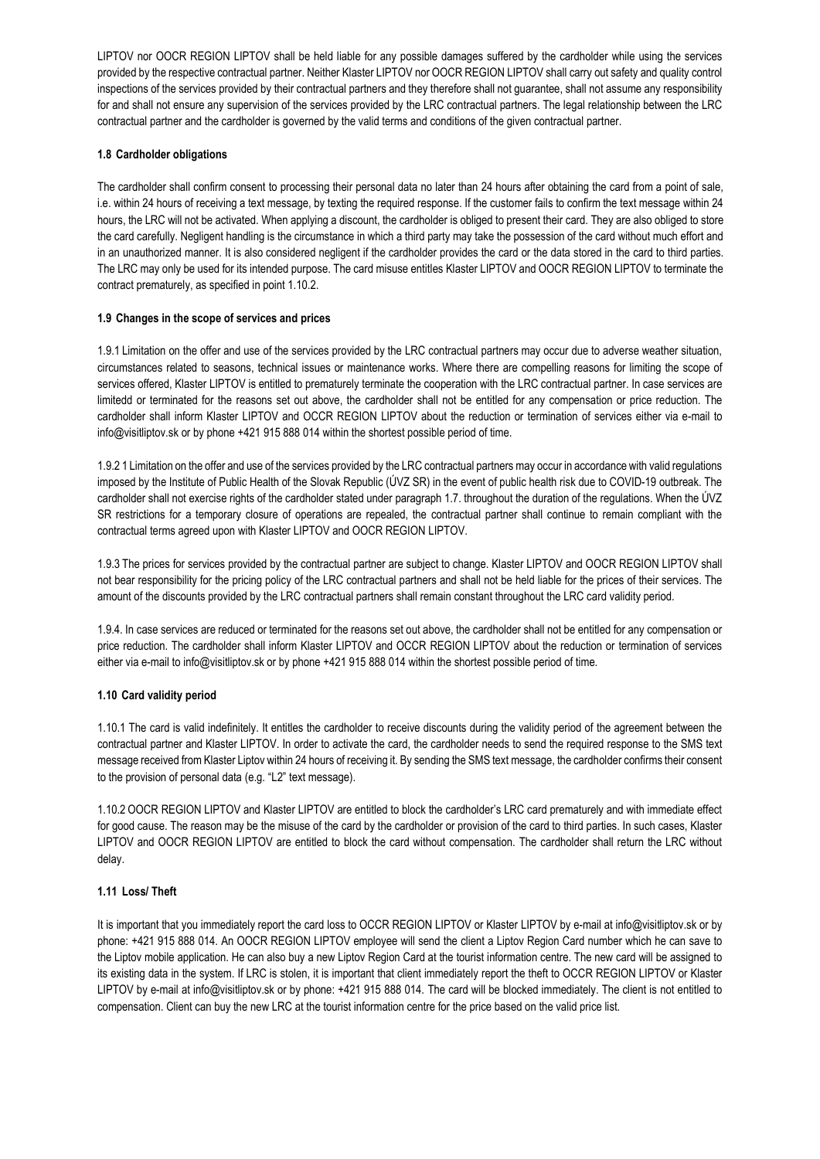LIPTOV nor OOCR REGION LIPTOV shall be held liable for any possible damages suffered by the cardholder while using the services provided by the respective contractual partner. Neither Klaster LIPTOV nor OOCR REGION LIPTOV shall carry out safety and quality control inspections of the services provided by their contractual partners and they therefore shall not guarantee, shall not assume any responsibility for and shall not ensure any supervision of the services provided by the LRC contractual partners. The legal relationship between the LRC contractual partner and the cardholder is governed by the valid terms and conditions of the given contractual partner.

# 1.8 Cardholder obligations

The cardholder shall confirm consent to processing their personal data no later than 24 hours after obtaining the card from a point of sale, i.e. within 24 hours of receiving a text message, by texting the required response. If the customer fails to confirm the text message within 24 hours, the LRC will not be activated. When applying a discount, the cardholder is obliged to present their card. They are also obliged to store the card carefully. Negligent handling is the circumstance in which a third party may take the possession of the card without much effort and in an unauthorized manner. It is also considered negligent if the cardholder provides the card or the data stored in the card to third parties. The LRC may only be used for its intended purpose. The card misuse entitles Klaster LIPTOV and OOCR REGION LIPTOV to terminate the contract prematurely, as specified in point 1.10.2.

# 1.9 Changes in the scope of services and prices

1.9.1 Limitation on the offer and use of the services provided by the LRC contractual partners may occur due to adverse weather situation, circumstances related to seasons, technical issues or maintenance works. Where there are compelling reasons for limiting the scope of services offered, Klaster LIPTOV is entitled to prematurely terminate the cooperation with the LRC contractual partner. In case services are limitedd or terminated for the reasons set out above, the cardholder shall not be entitled for any compensation or price reduction. The cardholder shall inform Klaster LIPTOV and OCCR REGION LIPTOV about the reduction or termination of services either via e-mail to info@visitliptov.sk or by phone +421 915 888 014 within the shortest possible period of time.

1.9.2 1 Limitation on the offer and use of the services provided by the LRC contractual partners may occur in accordance with valid regulations imposed by the Institute of Public Health of the Slovak Republic (ÚVZ SR) in the event of public health risk due to COVID-19 outbreak. The cardholder shall not exercise rights of the cardholder stated under paragraph 1.7. throughout the duration of the regulations. When the ÚVZ SR restrictions for a temporary closure of operations are repealed, the contractual partner shall continue to remain compliant with the contractual terms agreed upon with Klaster LIPTOV and OOCR REGION LIPTOV.

1.9.3 The prices for services provided by the contractual partner are subject to change. Klaster LIPTOV and OOCR REGION LIPTOV shall not bear responsibility for the pricing policy of the LRC contractual partners and shall not be held liable for the prices of their services. The amount of the discounts provided by the LRC contractual partners shall remain constant throughout the LRC card validity period.

1.9.4. In case services are reduced or terminated for the reasons set out above, the cardholder shall not be entitled for any compensation or price reduction. The cardholder shall inform Klaster LIPTOV and OCCR REGION LIPTOV about the reduction or termination of services either via e-mail to info@visitliptov.sk or by phone +421 915 888 014 within the shortest possible period of time.

# 1.10 Card validity period

1.10.1 The card is valid indefinitely. It entitles the cardholder to receive discounts during the validity period of the agreement between the contractual partner and Klaster LIPTOV. In order to activate the card, the cardholder needs to send the required response to the SMS text message received from Klaster Liptov within 24 hours of receiving it. By sending the SMS text message, the cardholder confirms their consent to the provision of personal data (e.g. "L2" text message).

1.10.2 OOCR REGION LIPTOV and Klaster LIPTOV are entitled to block the cardholder's LRC card prematurely and with immediate effect for good cause. The reason may be the misuse of the card by the cardholder or provision of the card to third parties. In such cases, Klaster LIPTOV and OOCR REGION LIPTOV are entitled to block the card without compensation. The cardholder shall return the LRC without delay.

# 1.11 Loss/ Theft

It is important that you immediately report the card loss to OCCR REGION LIPTOV or Klaster LIPTOV by e-mail at info@visitliptov.sk or by phone: +421 915 888 014. An OOCR REGION LIPTOV employee will send the client a Liptov Region Card number which he can save to the Liptov mobile application. He can also buy a new Liptov Region Card at the tourist information centre. The new card will be assigned to its existing data in the system. If LRC is stolen, it is important that client immediately report the theft to OCCR REGION LIPTOV or Klaster LIPTOV by e-mail at info@visitliptov.sk or by phone: +421 915 888 014. The card will be blocked immediately. The client is not entitled to compensation. Client can buy the new LRC at the tourist information centre for the price based on the valid price list.